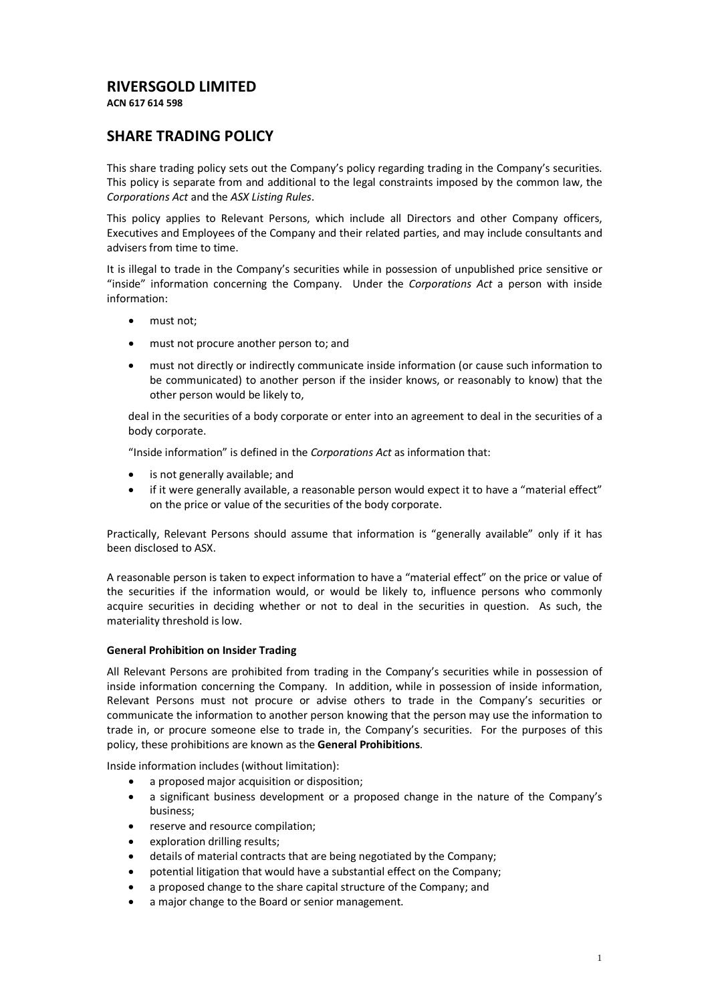# **RIVERSGOLD LIMITED**

**ACN 617 614 598**

# **SHARE TRADING POLICY**

This share trading policy sets out the Company's policy regarding trading in the Company's securities. This policy is separate from and additional to the legal constraints imposed by the common law, the *Corporations Act* and the *ASX Listing Rules*.

This policy applies to Relevant Persons, which include all Directors and other Company officers, Executives and Employees of the Company and their related parties, and may include consultants and advisers from time to time.

It is illegal to trade in the Company's securities while in possession of unpublished price sensitive or "inside" information concerning the Company. Under the *Corporations Act* a person with inside information:

- must not:
- must not procure another person to; and
- must not directly or indirectly communicate inside information (or cause such information to be communicated) to another person if the insider knows, or reasonably to know) that the other person would be likely to,

deal in the securities of a body corporate or enter into an agreement to deal in the securities of a body corporate.

"Inside information" is defined in the *Corporations Act* as information that:

- is not generally available; and
- if it were generally available, a reasonable person would expect it to have a "material effect" on the price or value of the securities of the body corporate.

Practically, Relevant Persons should assume that information is "generally available" only if it has been disclosed to ASX.

A reasonable person is taken to expect information to have a "material effect" on the price or value of the securities if the information would, or would be likely to, influence persons who commonly acquire securities in deciding whether or not to deal in the securities in question. As such, the materiality threshold is low.

## **General Prohibition on Insider Trading**

All Relevant Persons are prohibited from trading in the Company's securities while in possession of inside information concerning the Company. In addition, while in possession of inside information, Relevant Persons must not procure or advise others to trade in the Company's securities or communicate the information to another person knowing that the person may use the information to trade in, or procure someone else to trade in, the Company's securities. For the purposes of this policy, these prohibitions are known as the **General Prohibitions**.

Inside information includes (without limitation):

- a proposed major acquisition or disposition;
- a significant business development or a proposed change in the nature of the Company's business;
- reserve and resource compilation;
- exploration drilling results;
- details of material contracts that are being negotiated by the Company;
- potential litigation that would have a substantial effect on the Company;
- a proposed change to the share capital structure of the Company; and
- a major change to the Board or senior management.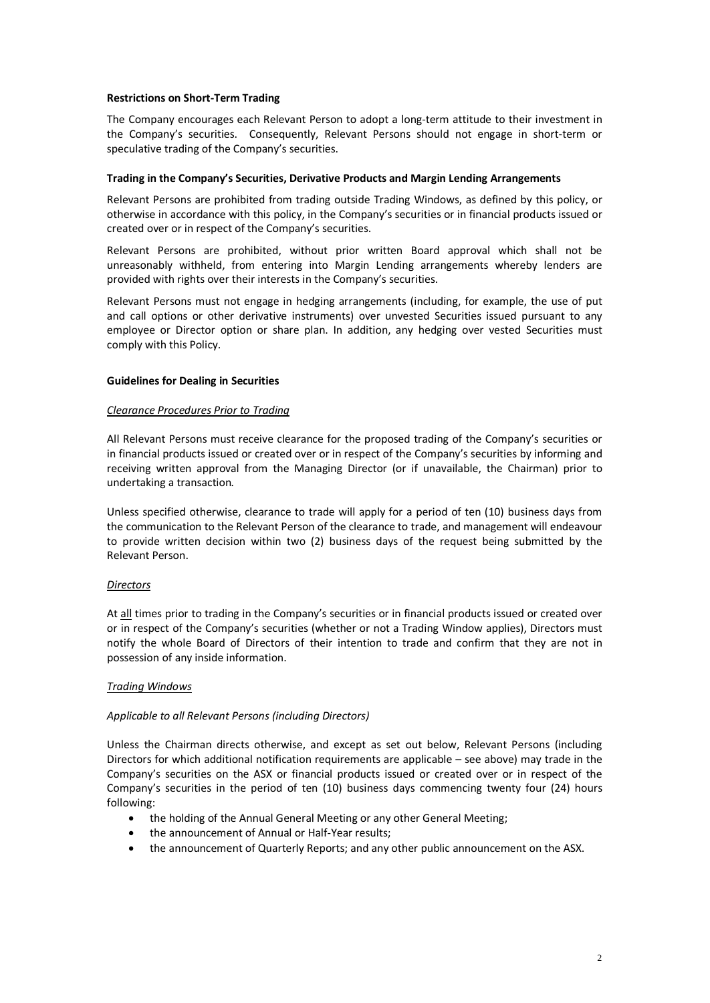#### **Restrictions on Short-Term Trading**

The Company encourages each Relevant Person to adopt a long-term attitude to their investment in the Company's securities. Consequently, Relevant Persons should not engage in short-term or speculative trading of the Company's securities.

#### **Trading in the Company's Securities, Derivative Products and Margin Lending Arrangements**

Relevant Persons are prohibited from trading outside Trading Windows, as defined by this policy, or otherwise in accordance with this policy, in the Company's securities or in financial products issued or created over or in respect of the Company's securities.

Relevant Persons are prohibited, without prior written Board approval which shall not be unreasonably withheld, from entering into Margin Lending arrangements whereby lenders are provided with rights over their interests in the Company's securities.

Relevant Persons must not engage in hedging arrangements (including, for example, the use of put and call options or other derivative instruments) over unvested Securities issued pursuant to any employee or Director option or share plan. In addition, any hedging over vested Securities must comply with this Policy.

#### **Guidelines for Dealing in Securities**

#### *Clearance Procedures Prior to Trading*

All Relevant Persons must receive clearance for the proposed trading of the Company's securities or in financial products issued or created over or in respect of the Company's securities by informing and receiving written approval from the Managing Director (or if unavailable, the Chairman) prior to undertaking a transaction*.*

Unless specified otherwise, clearance to trade will apply for a period of ten (10) business days from the communication to the Relevant Person of the clearance to trade, and management will endeavour to provide written decision within two (2) business days of the request being submitted by the Relevant Person.

## *Directors*

At all times prior to trading in the Company's securities or in financial products issued or created over or in respect of the Company's securities (whether or not a Trading Window applies), Directors must notify the whole Board of Directors of their intention to trade and confirm that they are not in possession of any inside information.

## *Trading Windows*

## *Applicable to all Relevant Persons (including Directors)*

Unless the Chairman directs otherwise, and except as set out below, Relevant Persons (including Directors for which additional notification requirements are applicable – see above) may trade in the Company's securities on the ASX or financial products issued or created over or in respect of the Company's securities in the period of ten (10) business days commencing twenty four (24) hours following:

- the holding of the Annual General Meeting or any other General Meeting;
- the announcement of Annual or Half-Year results;
- the announcement of Quarterly Reports; and any other public announcement on the ASX.